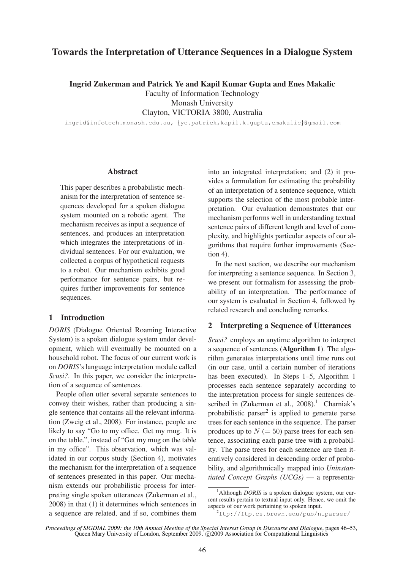# **Towards the Interpretation of Utterance Sequences in a Dialogue System**

**Ingrid Zukerman and Patrick Ye and Kapil Kumar Gupta and Enes Makalic**

Faculty of Information Technology

Monash University

Clayton, VICTORIA 3800, Australia

ingrid@infotech.monash.edu.au, {ye.patrick,kapil.k.gupta,emakalic}@gmail.com

#### **Abstract**

This paper describes a probabilistic mechanism for the interpretation of sentence sequences developed for a spoken dialogue system mounted on a robotic agent. The mechanism receives as input a sequence of sentences, and produces an interpretation which integrates the interpretations of individual sentences. For our evaluation, we collected a corpus of hypothetical requests to a robot. Our mechanism exhibits good performance for sentence pairs, but requires further improvements for sentence sequences.

## **1 Introduction**

*DORIS* (Dialogue Oriented Roaming Interactive System) is a spoken dialogue system under development, which will eventually be mounted on a household robot. The focus of our current work is on *DORIS*'s language interpretation module called *Scusi?*. In this paper, we consider the interpretation of a sequence of sentences.

People often utter several separate sentences to convey their wishes, rather than producing a single sentence that contains all the relevant information (Zweig et al., 2008). For instance, people are likely to say "Go to my office. Get my mug. It is on the table.", instead of "Get my mug on the table in my office". This observation, which was validated in our corpus study (Section 4), motivates the mechanism for the interpretation of a sequence of sentences presented in this paper. Our mechanism extends our probabilistic process for interpreting single spoken utterances (Zukerman et al., 2008) in that (1) it determines which sentences in a sequence are related, and if so, combines them

into an integrated interpretation; and (2) it provides a formulation for estimating the probability of an interpretation of a sentence sequence, which supports the selection of the most probable interpretation. Our evaluation demonstrates that our mechanism performs well in understanding textual sentence pairs of different length and level of complexity, and highlights particular aspects of our algorithms that require further improvements (Section 4).

In the next section, we describe our mechanism for interpreting a sentence sequence. In Section 3, we present our formalism for assessing the probability of an interpretation. The performance of our system is evaluated in Section 4, followed by related research and concluding remarks.

#### **2 Interpreting a Sequence of Utterances**

*Scusi?* employs an anytime algorithm to interpret a sequence of sentences (**Algorithm 1**). The algorithm generates interpretations until time runs out (in our case, until a certain number of iterations has been executed). In Steps 1–5, Algorithm 1 processes each sentence separately according to the interpretation process for single sentences described in (Zukerman et al.,  $2008$ ).<sup>1</sup> Charniak's probabilistic parser<sup>2</sup> is applied to generate parse trees for each sentence in the sequence. The parser produces up to  $N (= 50)$  parse trees for each sentence, associating each parse tree with a probability. The parse trees for each sentence are then iteratively considered in descending order of probability, and algorithmically mapped into *Uninstantiated Concept Graphs (UCGs)* — a representa-

<sup>&</sup>lt;sup>1</sup>Although *DORIS* is a spoken dialogue system, our current results pertain to textual input only. Hence, we omit the aspects of our work pertaining to spoken input.

 $2$ ftp://ftp.cs.brown.edu/pub/nlparser/

*Proceedings of SIGDIAL 2009: the 10th Annual Meeting of the Special Interest Group in Discourse and Dialogue*, pages 46–53, Queen Mary University of London, September 2009. © 2009 Association for Computational Linguistics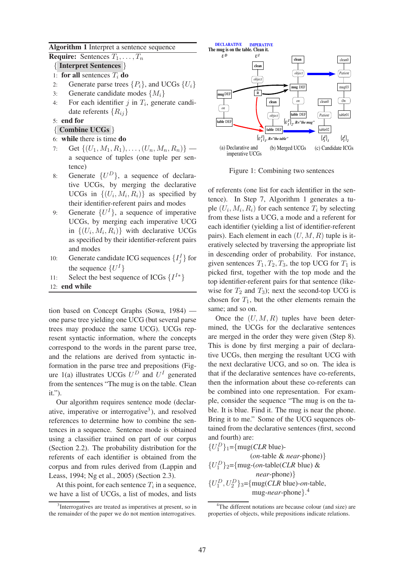#### **Algorithm 1** Interpret a sentence sequence

**Require:** Sentences  $T_1, \ldots, T_n$ 

- { **Interpret Sentences** }
- 1: **for all** sentences  $T_i$  **do**
- 2: Generate parse trees  $\{P_i\}$ , and UCGs  $\{U_i\}$
- 3: Generate candidate modes  $\{M_i\}$
- 4: For each identifier  $j$  in  $T_i$ , generate candidate referents  $\{R_{ij}\}\$

## 5: **end for**

- { **Combine UCGs** }
- 6: **while** there is time **do**
- 7: Get  $\{(U_1, M_1, R_1), \ldots, (U_n, M_n, R_n)\}$  a sequence of tuples (one tuple per sentence)
- 8: Generate  $\{U^D\}$ , a sequence of declarative UCGs, by merging the declarative UCGs in  $\{(U_i, M_i, R_i)\}\$ as specified by their identifier-referent pairs and modes
- 9: Generate  $\{U^I\}$ , a sequence of imperative UCGs, by merging each imperative UCG in  $\{(U_i, M_i, R_i)\}\$  with declarative UCGs as specified by their identifier-referent pairs and modes
- 10: Generate candidate ICG sequences  $\{I_j^I\}$  for the sequence  $\{U^I\}$
- 11: Select the best sequence of ICGs  $\{I^{I*}\}$
- 12: **end while**

tion based on Concept Graphs (Sowa, 1984) one parse tree yielding one UCG (but several parse trees may produce the same UCG). UCGs represent syntactic information, where the concepts correspond to the words in the parent parse tree, and the relations are derived from syntactic information in the parse tree and prepositions (Figure 1(a) illustrates UCGs  $U^D$  and  $U^I$  generated from the sentences "The mug is on the table. Clean it.").

Our algorithm requires sentence mode (declarative, imperative or interrogative<sup>3</sup>), and resolved references to determine how to combine the sentences in a sequence. Sentence mode is obtained using a classifier trained on part of our corpus (Section 2.2). The probability distribution for the referents of each identifier is obtained from the corpus and from rules derived from (Lappin and Leass, 1994; Ng et al., 2005) (Section 2.3).

At this point, for each sentence  $T_i$  in a sequence, we have a list of UCGs, a list of modes, and lists



Figure 1: Combining two sentences

of referents (one list for each identifier in the sentence). In Step 7, Algorithm 1 generates a tuple  $(U_i, M_i, R_i)$  for each sentence  $T_i$  by selecting from these lists a UCG, a mode and a referent for each identifier (yielding a list of identifier-referent pairs). Each element in each  $(U, M, R)$  tuple is iteratively selected by traversing the appropriate list in descending order of probability. For instance, given sentences  $T_1, T_2, T_3$ , the top UCG for  $T_1$  is picked first, together with the top mode and the top identifier-referent pairs for that sentence (likewise for  $T_2$  and  $T_3$ ); next the second-top UCG is chosen for  $T_1$ , but the other elements remain the same; and so on.

Once the  $(U, M, R)$  tuples have been determined, the UCGs for the declarative sentences are merged in the order they were given (Step 8). This is done by first merging a pair of declarative UCGs, then merging the resultant UCG with the next declarative UCG, and so on. The idea is that if the declarative sentences have co-referents, then the information about these co-referents can be combined into one representation. For example, consider the sequence "The mug is on the table. It is blue. Find it. The mug is near the phone. Bring it to me." Some of the UCG sequences obtained from the declarative sentences (first, second and fourth) are:

 $\{U_1^D\}_1$ ={mug(*CLR* blue)-(*on*-table & *near*-phone)}  ${U_1^D}_{2}$ ={mug-(*on*-table(*CLR* blue) & *near*-phone)}  $\{U_1^D, U_2^D\}_3$ ={mug(*CLR* blue)-*on*-table, mug-*near*-phone}. 4

<sup>&</sup>lt;sup>3</sup>Interrogatives are treated as imperatives at present, so in the remainder of the paper we do not mention interrogatives.

<sup>&</sup>lt;sup>4</sup>The different notations are because colour (and size) are properties of objects, while prepositions indicate relations.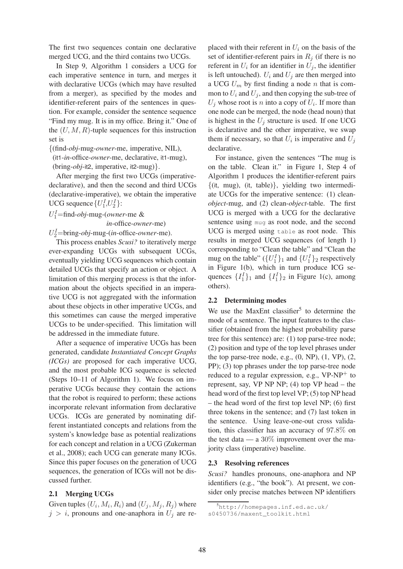The first two sequences contain one declarative merged UCG, and the third contains two UCGs.

In Step 9, Algorithm 1 considers a UCG for each imperative sentence in turn, and merges it with declarative UCGs (which may have resulted from a merger), as specified by the modes and identifier-referent pairs of the sentences in question. For example, consider the sentence sequence "Find my mug. It is in my office. Bring it." One of the  $(U, M, R)$ -tuple sequences for this instruction set is

{(find-*obj*-mug-*owner*-me, imperative, NIL),

(it1-*in*-office-*owner*-me, declarative, it1-mug),

(bring-*obj*-it2, imperative, it2-mug)}.

After merging the first two UCGs (imperativedeclarative), and then the second and third UCGs (declarative-imperative), we obtain the imperative UCG sequence  $\{U_1^I, U_2^I\}$ :

# U I <sup>1</sup>=find-*obj*-mug-(*owner*-me &

*in*-office-*owner*-me)

U I <sup>2</sup>=bring-*obj*-mug-(*in*-office-*owner*-me).

This process enables *Scusi?* to iteratively merge ever-expanding UCGs with subsequent UCGs, eventually yielding UCG sequences which contain detailed UCGs that specify an action or object. A limitation of this merging process is that the information about the objects specified in an imperative UCG is not aggregated with the information about these objects in other imperative UCGs, and this sometimes can cause the merged imperative UCGs to be under-specified. This limitation will be addressed in the immediate future.

After a sequence of imperative UCGs has been generated, candidate *Instantiated Concept Graphs (ICGs)* are proposed for each imperative UCG, and the most probable ICG sequence is selected (Steps 10–11 of Algorithm 1). We focus on imperative UCGs because they contain the actions that the robot is required to perform; these actions incorporate relevant information from declarative UCGs. ICGs are generated by nominating different instantiated concepts and relations from the system's knowledge base as potential realizations for each concept and relation in a UCG (Zukerman et al., 2008); each UCG can generate many ICGs. Since this paper focuses on the generation of UCG sequences, the generation of ICGs will not be discussed further.

#### **2.1 Merging UCGs**

Given tuples  $(U_i, M_i, R_i)$  and  $(U_j, M_j, R_j)$  where  $j > i$ , pronouns and one-anaphora in  $U_j$  are replaced with their referent in  $U_i$  on the basis of the set of identifier-referent pairs in  $R_i$  (if there is no referent in  $U_i$  for an identifier in  $U_i$ , the identifier is left untouched).  $U_i$  and  $U_j$  are then merged into a UCG  $U_m$  by first finding a node n that is common to  $U_i$  and  $U_j$ , and then copying the sub-tree of  $U_j$  whose root is n into a copy of  $U_i$ . If more than one node can be merged, the node (head noun) that is highest in the  $U_i$  structure is used. If one UCG is declarative and the other imperative, we swap them if necessary, so that  $U_i$  is imperative and  $U_j$ declarative.

For instance, given the sentences "The mug is on the table. Clean it." in Figure 1, Step 4 of Algorithm 1 produces the identifier-referent pairs  $\{(it, mug), (it, table)\},$  yielding two intermediate UCGs for the imperative sentence: (1) clean*object*-mug, and (2) clean-*object*-table. The first UCG is merged with a UCG for the declarative sentence using mug as root node, and the second UCG is merged using table as root node. This results in merged UCG sequences (of length 1) corresponding to "Clean the table" and "Clean the mug on the table" ( $\{U_1^I\}_1$  and  $\{U_1^I\}_2$  respectively in Figure 1(b), which in turn produce ICG sequences  $\{I_1^I\}_1$  and  $\{I_1^I\}_2$  in Figure 1(c), among others).

#### **2.2 Determining modes**

We use the MaxEnt classifier<sup>5</sup> to determine the mode of a sentence. The input features to the classifier (obtained from the highest probability parse tree for this sentence) are: (1) top parse-tree node; (2) position and type of the top level phrases under the top parse-tree node, e.g.,  $(0, NP)$ ,  $(1, VP)$ ,  $(2,$ PP); (3) top phrases under the top parse-tree node reduced to a regular expression, e.g.,  $VP-NP^+$  to represent, say, VP NP NP;  $(4)$  top VP head – the head word of the first top level VP; (5) top NP head – the head word of the first top level NP; (6) first three tokens in the sentence; and (7) last token in the sentence. Using leave-one-out cross validation, this classifier has an accuracy of 97.8% on the test data — a  $30\%$  improvement over the majority class (imperative) baseline.

#### **2.3 Resolving references**

*Scusi?* handles pronouns, one-anaphora and NP identifiers (e.g., "the book"). At present, we consider only precise matches between NP identifiers

<sup>5</sup>http://homepages.inf.ed.ac.uk/ s0450736/maxent\_toolkit.html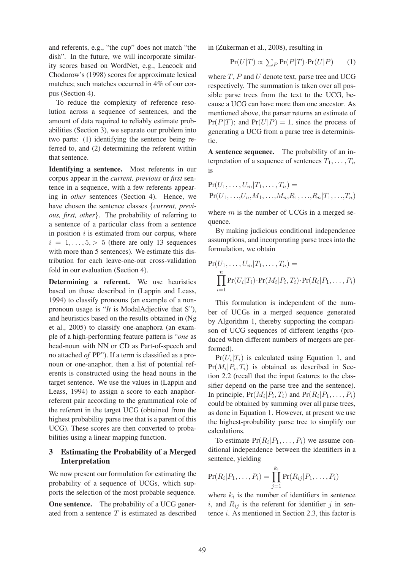and referents, e.g., "the cup" does not match "the dish". In the future, we will incorporate similarity scores based on WordNet, e.g., Leacock and Chodorow's (1998) scores for approximate lexical matches; such matches occurred in 4% of our corpus (Section 4).

To reduce the complexity of reference resolution across a sequence of sentences, and the amount of data required to reliably estimate probabilities (Section 3), we separate our problem into two parts: (1) identifying the sentence being referred to, and (2) determining the referent within that sentence.

**Identifying a sentence.** Most referents in our corpus appear in the *current, previous* or *first* sentence in a sequence, with a few referents appearing in *other* sentences (Section 4). Hence, we have chosen the sentence classes {*current, previous, first, other*}. The probability of referring to a sentence of a particular class from a sentence in position  $i$  is estimated from our corpus, where  $i = 1, \ldots, 5, > 5$  (there are only 13 sequences with more than 5 sentences). We estimate this distribution for each leave-one-out cross-validation fold in our evaluation (Section 4).

**Determining a referent.** We use heuristics based on those described in (Lappin and Leass, 1994) to classify pronouns (an example of a nonpronoun usage is "*It* is ModalAdjective that S"), and heuristics based on the results obtained in (Ng et al., 2005) to classify one-anaphora (an example of a high-performing feature pattern is "*one* as head-noun with NN or CD as Part-of-speech and no attached *of* PP"). If a term is classified as a pronoun or one-anaphor, then a list of potential referents is constructed using the head nouns in the target sentence. We use the values in (Lappin and Leass, 1994) to assign a score to each anaphorreferent pair according to the grammatical role of the referent in the target UCG (obtained from the highest probability parse tree that is a parent of this UCG). These scores are then converted to probabilities using a linear mapping function.

# **3 Estimating the Probability of a Merged Interpretation**

We now present our formulation for estimating the probability of a sequence of UCGs, which supports the selection of the most probable sequence.

**One sentence.** The probability of a UCG generated from a sentence  $T$  is estimated as described in (Zukerman et al., 2008), resulting in

$$
Pr(U|T) \propto \sum_{P} Pr(P|T) \cdot Pr(U|P) \tag{1}
$$

where  $T$ ,  $P$  and  $U$  denote text, parse tree and UCG respectively. The summation is taken over all possible parse trees from the text to the UCG, because a UCG can have more than one ancestor. As mentioned above, the parser returns an estimate of  $Pr(P|T)$ ; and  $Pr(U|P) = 1$ , since the process of generating a UCG from a parse tree is deterministic.

**A sentence sequence.** The probability of an interpretation of a sequence of sentences  $T_1, \ldots, T_n$ is

$$
Pr(U_1, \ldots, U_m | T_1, \ldots, T_n) =
$$
  
Pr(U\_1, \ldots, U\_n, M\_1, \ldots, M\_n, R\_1, \ldots, R\_n | T\_1, \ldots, T\_n)

where  $m$  is the number of UCGs in a merged sequence.

By making judicious conditional independence assumptions, and incorporating parse trees into the formulation, we obtain

$$
Pr(U_1, \ldots, U_m | T_1, \ldots, T_n) =
$$
  

$$
\prod_{i=1}^n Pr(U_i | T_i) \cdot Pr(M_i | P_i, T_i) \cdot Pr(R_i | P_1, \ldots, P_i)
$$

This formulation is independent of the number of UCGs in a merged sequence generated by Algorithm 1, thereby supporting the comparison of UCG sequences of different lengths (produced when different numbers of mergers are performed).

 $Pr(U_i|T_i)$  is calculated using Equation 1, and  $Pr(M_i | P_i, T_i)$  is obtained as described in Section 2.2 (recall that the input features to the classifier depend on the parse tree and the sentence). In principle,  $Pr(M_i | P_i, T_i)$  and  $Pr(R_i | P_1, \ldots, P_i)$ could be obtained by summing over all parse trees, as done in Equation 1. However, at present we use the highest-probability parse tree to simplify our calculations.

To estimate  $Pr(R_i|P_1, \ldots, P_i)$  we assume conditional independence between the identifiers in a sentence, yielding

$$
\Pr(R_i|P_1,\ldots,P_i) = \prod_{j=1}^{k_i} \Pr(R_{ij}|P_1,\ldots,P_i)
$$

where  $k_i$  is the number of identifiers in sentence i, and  $R_{ij}$  is the referent for identifier j in sentence  $i$ . As mentioned in Section 2.3, this factor is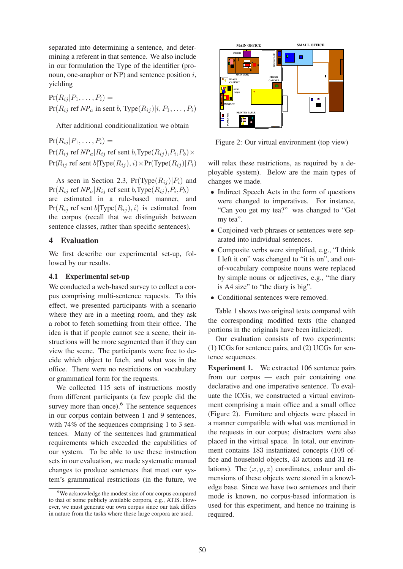separated into determining a sentence, and determining a referent in that sentence. We also include in our formulation the Type of the identifier (pronoun, one-anaphor or  $NP$ ) and sentence position  $i$ , yielding

 $Pr(R_{ij} | P_1, \ldots, P_i) =$  $Pr(R_{ij}$  ref  $NP_a$  in sent b,  $Type(R_{ij})|i, P_1, \ldots, P_i)$ 

After additional conditionalization we obtain

 $Pr(R_{ij} | P_1, \ldots, P_i) =$  $\Pr(R_{ij}$  ref  $NP_a|R_{ij}$  ref sent  $b, \text{Type}(R_{ij}), P_i, P_b) \times$  $Pr(R_{ij}$  ref sent  $b|Type(R_{ij}),i)\times Pr(Type(R_{ij})|P_i)$ 

As seen in Section 2.3,  $Pr(Type(R_{ij})|P_i)$  and  $\Pr(R_{ij}$  ref  $NP_a | R_{ij}$  ref sent  $b, \text{Type}(R_{ij}), P_i, P_b)$ are estimated in a rule-based manner, and  $Pr(R_{ij}$  ref sent  $b|Type(R_{ij}),i)$  is estimated from the corpus (recall that we distinguish between sentence classes, rather than specific sentences).

#### **4 Evaluation**

We first describe our experimental set-up, followed by our results.

## **4.1 Experimental set-up**

We conducted a web-based survey to collect a corpus comprising multi-sentence requests. To this effect, we presented participants with a scenario where they are in a meeting room, and they ask a robot to fetch something from their office. The idea is that if people cannot see a scene, their instructions will be more segmented than if they can view the scene. The participants were free to decide which object to fetch, and what was in the office. There were no restrictions on vocabulary or grammatical form for the requests.

We collected 115 sets of instructions mostly from different participants (a few people did the survey more than once). $<sup>6</sup>$  The sentence sequences</sup> in our corpus contain between 1 and 9 sentences, with 74% of the sequences comprising 1 to 3 sentences. Many of the sentences had grammatical requirements which exceeded the capabilities of our system. To be able to use these instruction sets in our evaluation, we made systematic manual changes to produce sentences that meet our system's grammatical restrictions (in the future, we



Figure 2: Our virtual environment (top view)

will relax these restrictions, as required by a deployable system). Below are the main types of changes we made.

- Indirect Speech Acts in the form of questions were changed to imperatives. For instance, "Can you get my tea?" was changed to "Get my tea".
- Conjoined verb phrases or sentences were separated into individual sentences.
- Composite verbs were simplified, e.g., "I think I left it on" was changed to "it is on", and outof-vocabulary composite nouns were replaced by simple nouns or adjectives, e.g., "the diary is A4 size" to "the diary is big".
- Conditional sentences were removed.

Table 1 shows two original texts compared with the corresponding modified texts (the changed portions in the originals have been italicized).

Our evaluation consists of two experiments: (1) ICGs for sentence pairs, and (2) UCGs for sentence sequences.

**Experiment 1.** We extracted 106 sentence pairs from our corpus — each pair containing one declarative and one imperative sentence. To evaluate the ICGs, we constructed a virtual environment comprising a main office and a small office (Figure 2). Furniture and objects were placed in a manner compatible with what was mentioned in the requests in our corpus; distractors were also placed in the virtual space. In total, our environment contains 183 instantiated concepts (109 office and household objects, 43 actions and 31 relations). The  $(x, y, z)$  coordinates, colour and dimensions of these objects were stored in a knowledge base. Since we have two sentences and their mode is known, no corpus-based information is used for this experiment, and hence no training is required.

<sup>&</sup>lt;sup>6</sup>We acknowledge the modest size of our corpus compared to that of some publicly available corpora, e.g., ATIS. However, we must generate our own corpus since our task differs in nature from the tasks where these large corpora are used.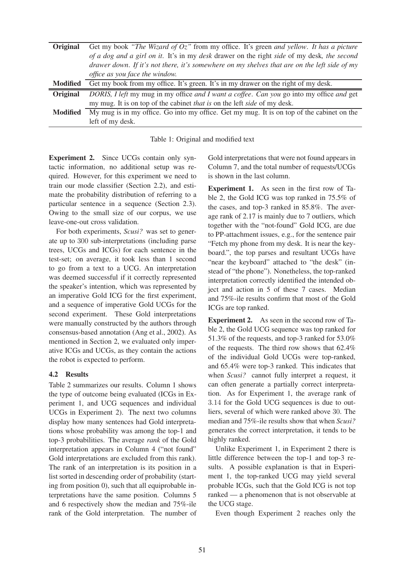| Original        | Get my book "The Wizard of $Oz$ " from my office. It's green and yellow. It has a picture    |
|-----------------|----------------------------------------------------------------------------------------------|
|                 | of a dog and a girl on it. It's in my desk drawer on the right side of my desk, the second   |
|                 | drawer down. If it's not there, it's somewhere on my shelves that are on the left side of my |
|                 | office as you face the window.                                                               |
| <b>Modified</b> | Get my book from my office. It's green. It's in my drawer on the right of my desk.           |
| <b>Original</b> | DORIS, I left my mug in my office and I want a coffee. Can you go into my office and get     |
|                 | my mug. It is on top of the cabinet <i>that is</i> on the left <i>side</i> of my desk.       |
| <b>Modified</b> | My mug is in my office. Go into my office. Get my mug. It is on top of the cabinet on the    |
|                 | left of my desk.                                                                             |

Table 1: Original and modified text

**Experiment 2.** Since UCGs contain only syntactic information, no additional setup was required. However, for this experiment we need to train our mode classifier (Section 2.2), and estimate the probability distribution of referring to a particular sentence in a sequence (Section 2.3). Owing to the small size of our corpus, we use leave-one-out cross validation.

For both experiments, *Scusi?* was set to generate up to 300 sub-interpretations (including parse trees, UCGs and ICGs) for each sentence in the test-set; on average, it took less than 1 second to go from a text to a UCG. An interpretation was deemed successful if it correctly represented the speaker's intention, which was represented by an imperative Gold ICG for the first experiment, and a sequence of imperative Gold UCGs for the second experiment. These Gold interpretations were manually constructed by the authors through consensus-based annotation (Ang et al., 2002). As mentioned in Section 2, we evaluated only imperative ICGs and UCGs, as they contain the actions the robot is expected to perform.

#### **4.2 Results**

Table 2 summarizes our results. Column 1 shows the type of outcome being evaluated (ICGs in Experiment 1, and UCG sequences and individual UCGs in Experiment 2). The next two columns display how many sentences had Gold interpretations whose probability was among the top-1 and top-3 probabilities. The average *rank* of the Gold interpretation appears in Column 4 ("not found" Gold interpretations are excluded from this rank). The rank of an interpretation is its position in a list sorted in descending order of probability (starting from position 0), such that all equiprobable interpretations have the same position. Columns 5 and 6 respectively show the median and 75%-ile rank of the Gold interpretation. The number of Gold interpretations that were not found appears in Column 7, and the total number of requests/UCGs is shown in the last column.

**Experiment 1.** As seen in the first row of Table 2, the Gold ICG was top ranked in 75.5% of the cases, and top-3 ranked in 85.8%. The average rank of 2.17 is mainly due to 7 outliers, which together with the "not-found" Gold ICG, are due to PP-attachment issues, e.g., for the sentence pair "Fetch my phone from my desk. It is near the keyboard.", the top parses and resultant UCGs have "near the keyboard" attached to "the desk" (instead of "the phone"). Nonetheless, the top-ranked interpretation correctly identified the intended object and action in 5 of these 7 cases. Median and 75%-ile results confirm that most of the Gold ICGs are top ranked.

**Experiment 2.** As seen in the second row of Table 2, the Gold UCG sequence was top ranked for 51.3% of the requests, and top-3 ranked for 53.0% of the requests. The third row shows that 62.4% of the individual Gold UCGs were top-ranked, and 65.4% were top-3 ranked. This indicates that when *Scusi?* cannot fully interpret a request, it can often generate a partially correct interpretation. As for Experiment 1, the average rank of 3.14 for the Gold UCG sequences is due to outliers, several of which were ranked above 30. The median and 75%-ile results show that when *Scusi?* generates the correct interpretation, it tends to be highly ranked.

Unlike Experiment 1, in Experiment 2 there is little difference between the top-1 and top-3 results. A possible explanation is that in Experiment 1, the top-ranked UCG may yield several probable ICGs, such that the Gold ICG is not top ranked — a phenomenon that is not observable at the UCG stage.

Even though Experiment 2 reaches only the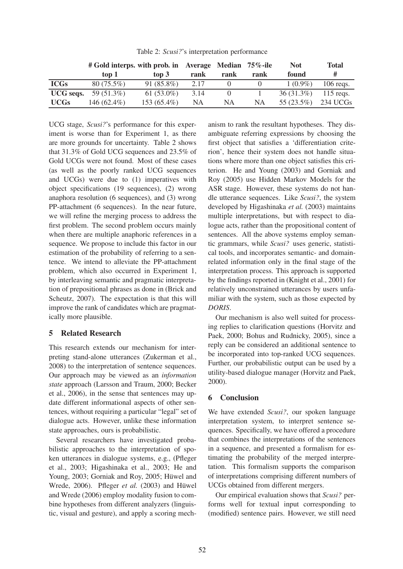Table 2: *Scusi?*'s interpretation performance

|                  | # Gold interps. with prob. in Average Median 75%-ile |               |           |      |           | <b>Not</b>   | Total       |
|------------------|------------------------------------------------------|---------------|-----------|------|-----------|--------------|-------------|
|                  | top 1                                                | $top\ 3$      | rank      | rank | rank      | found        | #           |
| <b>ICGs</b>      | $80(75.5\%)$                                         | $91(85.8\%)$  | 2.17      |      |           | $1(0.9\%)$   | $106$ regs. |
| <b>UCG</b> seqs. | 59 (51.3%)                                           | 61 $(53.0\%)$ | 3.14      |      |           | $36(31.3\%)$ | $115$ reqs. |
| <b>UCGs</b>      | 146 $(62.4\%)$                                       | $153(65.4\%)$ | <b>NA</b> | NA   | <b>NA</b> | $55(23.5\%)$ | 234 UCGs    |

UCG stage, *Scusi?*'s performance for this experiment is worse than for Experiment 1, as there are more grounds for uncertainty. Table 2 shows that 31.3% of Gold UCG sequences and 23.5% of Gold UCGs were not found. Most of these cases (as well as the poorly ranked UCG sequences and UCGs) were due to (1) imperatives with object specifications (19 sequences), (2) wrong anaphora resolution (6 sequences), and (3) wrong PP-attachment (6 sequences). In the near future, we will refine the merging process to address the first problem. The second problem occurs mainly when there are multiple anaphoric references in a sequence. We propose to include this factor in our estimation of the probability of referring to a sentence. We intend to alleviate the PP-attachment problem, which also occurred in Experiment 1, by interleaving semantic and pragmatic interpretation of prepositional phrases as done in (Brick and Scheutz, 2007). The expectation is that this will improve the rank of candidates which are pragmatically more plausible.

#### **5 Related Research**

This research extends our mechanism for interpreting stand-alone utterances (Zukerman et al., 2008) to the interpretation of sentence sequences. Our approach may be viewed as an *information state* approach (Larsson and Traum, 2000; Becker et al., 2006), in the sense that sentences may update different informational aspects of other sentences, without requiring a particular "legal" set of dialogue acts. However, unlike these information state approaches, ours is probabilistic.

Several researchers have investigated probabilistic approaches to the interpretation of spoken utterances in dialogue systems, e.g., (Pfleger et al., 2003; Higashinaka et al., 2003; He and Young, 2003; Gorniak and Roy, 2005; Hüwel and Wrede, 2006). Pfleger *et al.* (2003) and Hüwel and Wrede (2006) employ modality fusion to combine hypotheses from different analyzers (linguistic, visual and gesture), and apply a scoring mechanism to rank the resultant hypotheses. They disambiguate referring expressions by choosing the first object that satisfies a 'differentiation criterion', hence their system does not handle situations where more than one object satisfies this criterion. He and Young (2003) and Gorniak and Roy (2005) use Hidden Markov Models for the ASR stage. However, these systems do not handle utterance sequences. Like *Scusi?*, the system developed by Higashinaka *et al.* (2003) maintains multiple interpretations, but with respect to dialogue acts, rather than the propositional content of sentences. All the above systems employ semantic grammars, while *Scusi?* uses generic, statistical tools, and incorporates semantic- and domainrelated information only in the final stage of the interpretation process. This approach is supported by the findings reported in (Knight et al., 2001) for relatively unconstrained utterances by users unfamiliar with the system, such as those expected by *DORIS*.

Our mechanism is also well suited for processing replies to clarification questions (Horvitz and Paek, 2000; Bohus and Rudnicky, 2005), since a reply can be considered an additional sentence to be incorporated into top-ranked UCG sequences. Further, our probabilistic output can be used by a utility-based dialogue manager (Horvitz and Paek, 2000).

#### **6 Conclusion**

We have extended *Scusi?*, our spoken language interpretation system, to interpret sentence sequences. Specifically, we have offered a procedure that combines the interpretations of the sentences in a sequence, and presented a formalism for estimating the probability of the merged interpretation. This formalism supports the comparison of interpretations comprising different numbers of UCGs obtained from different mergers.

Our empirical evaluation shows that *Scusi?* performs well for textual input corresponding to (modified) sentence pairs. However, we still need